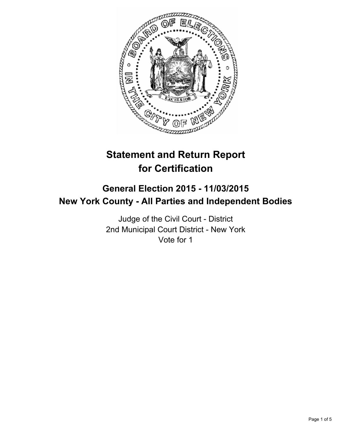

# **Statement and Return Report for Certification**

## **General Election 2015 - 11/03/2015 New York County - All Parties and Independent Bodies**

Judge of the Civil Court - District 2nd Municipal Court District - New York Vote for 1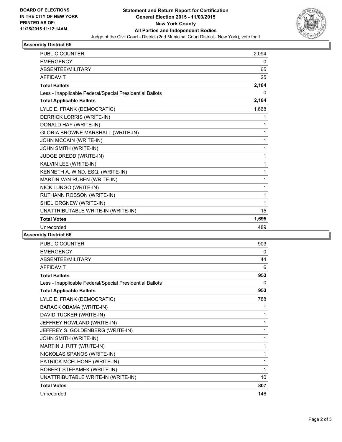

### **Assembly District 65**

| <b>PUBLIC COUNTER</b>                                    | 2,094 |
|----------------------------------------------------------|-------|
| <b>EMERGENCY</b>                                         | 0     |
| ABSENTEE/MILITARY                                        | 65    |
| <b>AFFIDAVIT</b>                                         | 25    |
| <b>Total Ballots</b>                                     | 2,184 |
| Less - Inapplicable Federal/Special Presidential Ballots | 0     |
| <b>Total Applicable Ballots</b>                          | 2,184 |
| LYLE E. FRANK (DEMOCRATIC)                               | 1,668 |
| DERRICK LORRIS (WRITE-IN)                                | 1     |
| DONALD HAY (WRITE-IN)                                    | 1     |
| GLORIA BROWNE MARSHALL (WRITE-IN)                        | 1     |
| JOHN MCCAIN (WRITE-IN)                                   | 1     |
| JOHN SMITH (WRITE-IN)                                    | 1     |
| JUDGE DREDD (WRITE-IN)                                   | 1     |
| KALVIN LEE (WRITE-IN)                                    | 1     |
| KENNETH A. WIND, ESQ. (WRITE-IN)                         | 1     |
| MARTIN VAN RUBEN (WRITE-IN)                              | 1     |
| NICK LUNGO (WRITE-IN)                                    | 1     |
| RUTHANN ROBSON (WRITE-IN)                                | 1     |
| SHEL ORGNEW (WRITE-IN)                                   | 1     |
| UNATTRIBUTABLE WRITE-IN (WRITE-IN)                       | 15    |
| <b>Total Votes</b>                                       | 1,695 |
| Unrecorded                                               | 489   |

#### **Assembly District 66**

| <b>PUBLIC COUNTER</b>                                    | 903 |
|----------------------------------------------------------|-----|
| <b>EMERGENCY</b>                                         | 0   |
| ABSENTEE/MILITARY                                        | 44  |
| <b>AFFIDAVIT</b>                                         | 6   |
| <b>Total Ballots</b>                                     | 953 |
| Less - Inapplicable Federal/Special Presidential Ballots | 0   |
| <b>Total Applicable Ballots</b>                          | 953 |
| LYLE E. FRANK (DEMOCRATIC)                               | 788 |
| <b>BARACK OBAMA (WRITE-IN)</b>                           | 1   |
| DAVID TUCKER (WRITE-IN)                                  | 1   |
| JEFFREY ROWLAND (WRITE-IN)                               | 1   |
| JEFFREY S. GOLDENBERG (WRITE-IN)                         | 1   |
| JOHN SMITH (WRITE-IN)                                    | 1   |
| MARTIN J. RITT (WRITE-IN)                                | 1   |
| NICKOLAS SPANOS (WRITE-IN)                               | 1   |
| PATRICK MCELHONE (WRITE-IN)                              | 1   |
| ROBERT STEPAMEK (WRITE-IN)                               | 1   |
| UNATTRIBUTABLE WRITE-IN (WRITE-IN)                       | 10  |
| <b>Total Votes</b>                                       | 807 |
| Unrecorded                                               | 146 |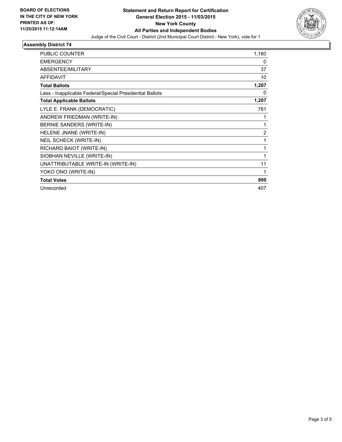

### **Assembly District 74**

| <b>PUBLIC COUNTER</b>                                    | 1,160          |
|----------------------------------------------------------|----------------|
| <b>EMERGENCY</b>                                         | 0              |
| ABSENTEE/MILITARY                                        | 37             |
| <b>AFFIDAVIT</b>                                         | 10             |
| <b>Total Ballots</b>                                     | 1,207          |
| Less - Inapplicable Federal/Special Presidential Ballots | 0              |
| <b>Total Applicable Ballots</b>                          | 1,207          |
| LYLE E. FRANK (DEMOCRATIC)                               | 781            |
| ANDREW FRIEDMAN (WRITE-IN)                               | 1              |
| BERNIE SANDERS (WRITE-IN)                                | 1              |
| HELENE JNANE (WRITE-IN)                                  | $\overline{2}$ |
| NEIL SCHECK (WRITE-IN)                                   | 1              |
| RICHARD BAIOT (WRITE-IN)                                 | 1              |
| SIOBHAN NEVILLE (WRITE-IN)                               | 1              |
| UNATTRIBUTABLE WRITE-IN (WRITE-IN)                       | 11             |
| YOKO ONO (WRITE-IN)                                      | 1              |
| <b>Total Votes</b>                                       | 800            |
| Unrecorded                                               | 407            |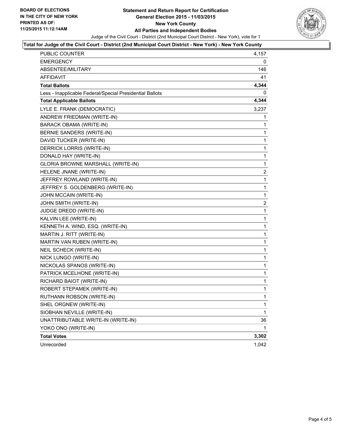

#### **Total for Judge of the Civil Court - District (2nd Municipal Court District - New York) - New York County**

| <b>PUBLIC COUNTER</b>                                    | 4,157        |
|----------------------------------------------------------|--------------|
| <b>EMERGENCY</b>                                         | 0            |
| ABSENTEE/MILITARY                                        | 146          |
| AFFIDAVIT                                                | 41           |
| <b>Total Ballots</b>                                     | 4,344        |
| Less - Inapplicable Federal/Special Presidential Ballots | 0            |
| <b>Total Applicable Ballots</b>                          | 4,344        |
| LYLE E. FRANK (DEMOCRATIC)                               | 3,237        |
| ANDREW FRIEDMAN (WRITE-IN)                               | 1            |
| BARACK OBAMA (WRITE-IN)                                  | 1            |
| BERNIE SANDERS (WRITE-IN)                                | 1            |
| DAVID TUCKER (WRITE-IN)                                  | 1            |
| DERRICK LORRIS (WRITE-IN)                                | 1            |
| DONALD HAY (WRITE-IN)                                    | 1            |
| <b>GLORIA BROWNE MARSHALL (WRITE-IN)</b>                 | 1            |
| HELENE JNANE (WRITE-IN)                                  | 2            |
| JEFFREY ROWLAND (WRITE-IN)                               | 1            |
| JEFFREY S. GOLDENBERG (WRITE-IN)                         | 1            |
| JOHN MCCAIN (WRITE-IN)                                   | 1            |
| JOHN SMITH (WRITE-IN)                                    | 2            |
| JUDGE DREDD (WRITE-IN)                                   | 1            |
| KALVIN LEE (WRITE-IN)                                    | 1            |
| KENNETH A. WIND, ESQ. (WRITE-IN)                         | 1            |
| MARTIN J. RITT (WRITE-IN)                                | 1            |
| MARTIN VAN RUBEN (WRITE-IN)                              | 1            |
| NEIL SCHECK (WRITE-IN)                                   | 1            |
| NICK LUNGO (WRITE-IN)                                    | 1            |
| NICKOLAS SPANOS (WRITE-IN)                               | 1            |
| PATRICK MCELHONE (WRITE-IN)                              | 1            |
| RICHARD BAIOT (WRITE-IN)                                 | 1            |
| ROBERT STEPAMEK (WRITE-IN)                               | 1            |
| RUTHANN ROBSON (WRITE-IN)                                | $\mathbf{1}$ |
| SHEL ORGNEW (WRITE-IN)                                   | 1            |
| SIOBHAN NEVILLE (WRITE-IN)                               | 1            |
| UNATTRIBUTABLE WRITE-IN (WRITE-IN)                       | 36           |
| YOKO ONO (WRITE-IN)                                      | 1            |
| <b>Total Votes</b>                                       | 3,302        |
| Unrecorded                                               | 1,042        |